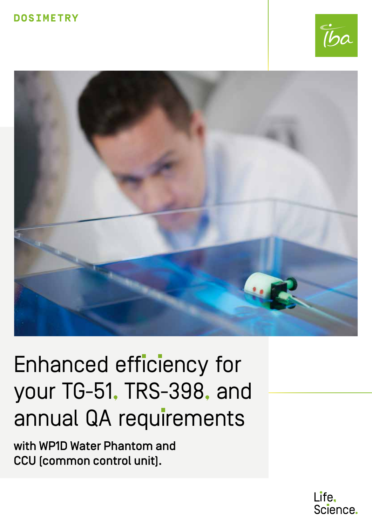## **DOSIMETRY**





# Enhanced efficiency for your TG-51, TRS-398, and annual QA requirements

with WP1D Water Phantom and CCU (common control unit).